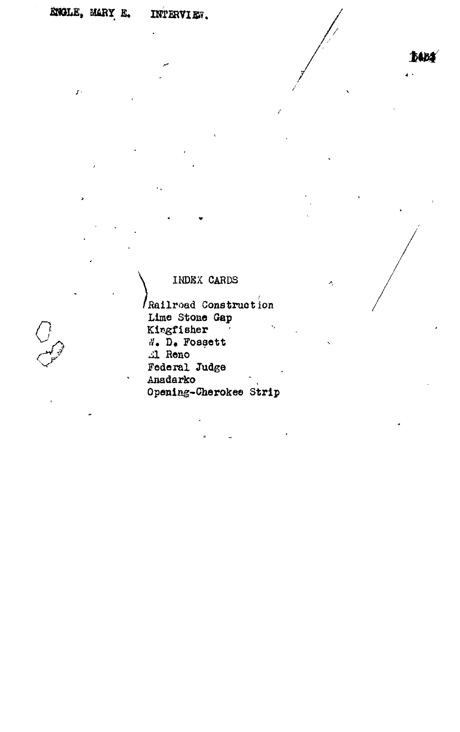$\boldsymbol{f}$  .

**JABA** 

 $\cdot$ 

# INDEX CARDS

Railroad Construction Lime Stone Gap Kingfisher N. D. Fossett Al Reno Federal Judge Anadarko Opening-Cherokee Strip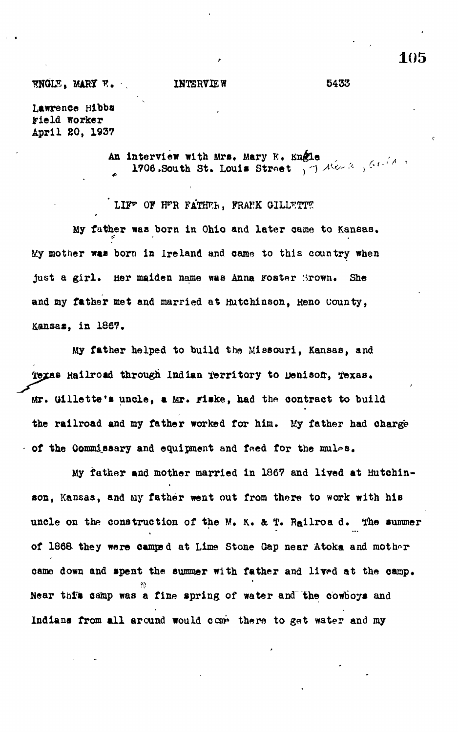## **ENGLE. MARY F. INTERVIEW 5433**

**Lawrence Hibbs irield worker April 20 , 1937**

> **An Interview with Mrs. Mary K. Kn&Le "** 1706.South St. Louis Street , 7 12 / 12 / <sup>64 /</sup>

LIF<sup>P</sup> OF H<sup>P</sup>R FATHER, FRANK GILLETTE

My father was born in Ohio and later came to Kansas. *it r<sup>t</sup>* **My mother was born in Ireland and came to this country when** just a girl. Her maiden name was Anna Foster 'Jrown. She **and my father met and married at Hutchinson, Heno county, Kansas, in 186?.**

**My father helped to build the Missouri, Kansas, and 3££88 Hailroad through Indian territory to Denisofr, lexas. Mr. Gillette's uncle, a Mr. jrlske, had the contract to build the railroad and my father worked for him.** *Uj* **father had charge - of the Commissary and equipment and feed for the mul^s.**

**My father and mother married in 1867 and lived at Hutchinson, Kansas, and my father went out from there to work with his uncle on the construction of the M. K. & T. Railroa d. The summer of 1868 they were camps d at Lime Stone Gap near Atoka and mother camo down and spent the summer with father and lived at the camp. Near thlfs camp was a fine spring of water and the cowboys and** Indians from all around would come there to get water and my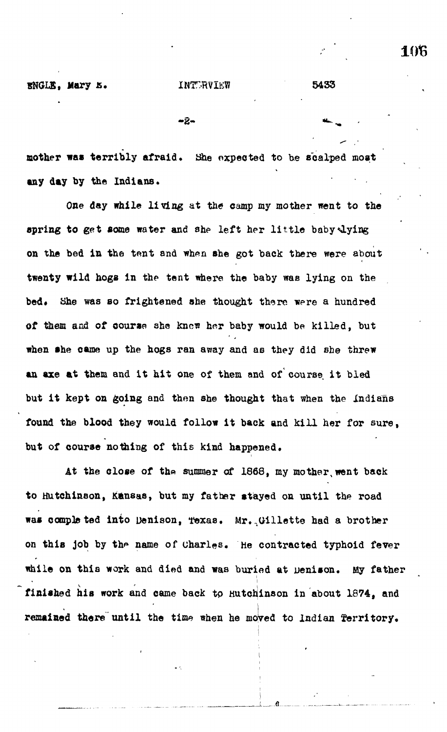**- 2- \*-"**

**mother was terribly afraid. She expected to he scalped moat any day by the Indians.**

**One day while living at the camp my mother went to the spring to get some water and she left her little baby<Lying** on the bed in the tent and when she got back there were about **twenty wild hogs in the tent where the baby was lying on the** bed. She was so frightened she thought there were a hundred of them and of course she knew her baby would be killed, but **when she came up the hogs ran away and as they did she threw an axe at them and it hit one of them and of course it bled but it kept on going and then she thought that when the Indians found the blood they would follow it back and kill her for sure, but of course nothing of this kind happened.**

At the close of the summer of 1868, my mother, went back **to Hutchinson, Kansas, but my father stayed on until the road was completed into Denison, Texas. Mr...Gillette had a brother** on this job by the name of Charles. He contracted typhoid fever **while on this work and died and was buried at uenison. My father** finished his work and came back to Hutchinson in about 1874, and **remained there until the** time when he moyed to Indian **territory.**

**i.** *a*

1016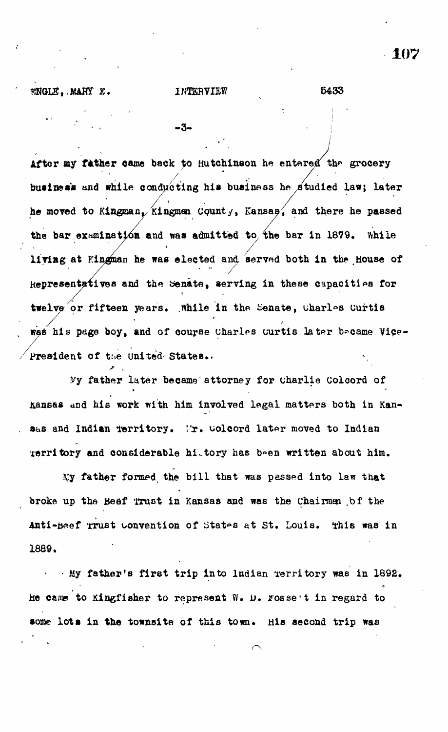FNGLE, MARY E.

### INTERVIEW

-3-

5433

After my father came back to Hutchinson he entered the grocery business and while conducting his business he studied law; later he moved to Kingman, Kingman County, Kansas, and there he passed the bar examination and was admitted to the bar in 1879. While living at Kingman he was elected and served both in the House of Representatives and the Senate, serving in these capacities for twelve or fifteen years. While in the Senate, charles Curtis was his page boy, and of course Charles Curtis later became Vice-President of the United States.

My father later became attorney for Charlie Colcord of Kansas and his work with him involved legal matters both in Kansas and Indian territory. Mr. Colcord later moved to Indian Territory and considerable hittory has been written about him.

My father formed the bill that was passed into law that broke up the Beef Trust in Kansas and was the Chairman bf the Anti-Beef Trust convention of States at St. Louis. This was in 1889.

My father's first trip into ludian Territory was in 1892. He came to Kingfisher to represent W. D. rosse't in regard to some lots in the townsite of this town. His second trip was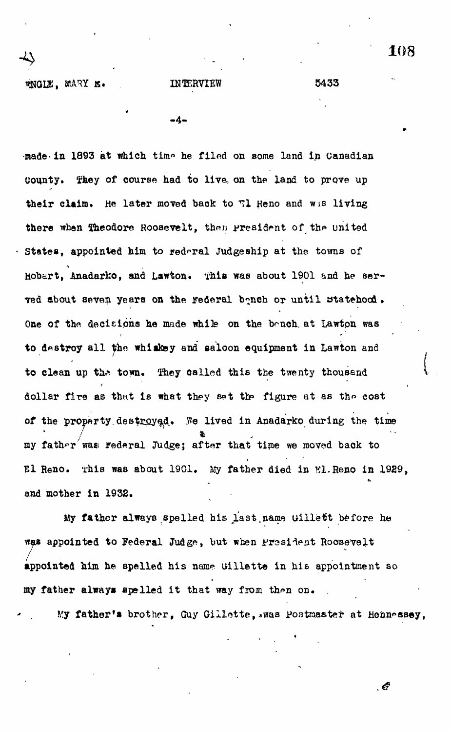-4

made in 1893 at which time he filed on some land in Canadian County. They of course had to live on the land to prove up their claim. He later moved back to  $T1$  Heno and wis living there when Theodore Roosevelt, then president of the united States, appointed him to rederal Judgeship at the towns of Hobart, Anadarko, and Lawton. This was about 1901 and he served about seven years on the Federal bonch or until statehood. One of the decisions he made while on the bench at Lawton was to destroy all the whiskey and saloon equipment in Lawton and to clean up the town. They called this the twenty thousand dollar fire as that is what they set the figure at as the cost of the property destroyed. We lived in Anadarko during the time my father was rederal Judge; after that time we moved back to *Hi* Reno. This was about 1901. My father died in Kl.Reno in 1929, and mother in 1932.

My father always spelled his last name uillett before he was appointed to Federal Judge, but when President Roosevelt appointed him he spelled his name uillette in his appointment so my father always spelled it that way from then on.

My father's brother, Guy Gillette, .was Postmaster at Hennessey,

 $\epsilon$